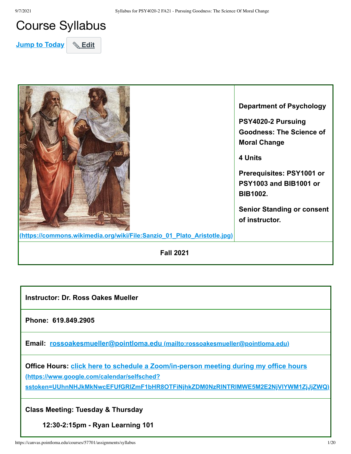# Course Syllabus

**Jump to Today** & Edit



**Instructor: Dr. Ross Oakes Mueller**

**Phone: 619.849.2905**

**Email: rossoakesmueller@pointloma.edu [\(mailto:rossoakesmueller@pointloma.edu\)](mailto:rossoakesmueller@pointloma.edu)**

**[Office Hours: click here to schedule a Zoom/in-person meeting during my office hours](https://www.google.com/calendar/selfsched?sstoken=UUhnNHJkMkNwcEFUfGRlZmF1bHR8OTFiNjhkZDM0NzRlNTRlMWE5M2E2NjVlYWM1ZjJjZWQ) (https://www.google.com/calendar/selfsched?**

**sstoken=UUhnNHJkMkNwcEFUfGRlZmF1bHR8OTFiNjhkZDM0NzRlNTRlMWE5M2E2NjVlYWM1ZjJjZWQ)**

**Class Meeting: Tuesday & Thursday**

**12:30-2:15pm - Ryan Learning 101**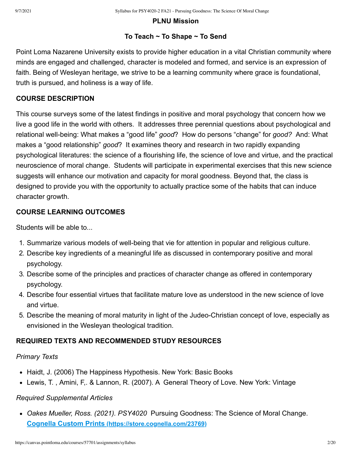#### **PLNU Mission**

#### **To Teach ~ To Shape ~ To Send**

Point Loma Nazarene University exists to provide higher education in a vital Christian community where minds are engaged and challenged, character is modeled and formed, and service is an expression of faith. Being of Wesleyan heritage, we strive to be a learning community where grace is foundational, truth is pursued, and holiness is a way of life.

#### **COURSE DESCRIPTION**

This course surveys some of the latest findings in positive and moral psychology that concern how we live a good life in the world with others. It addresses three perennial questions about psychological and relational well-being: What makes a "good life" *good*? How do persons "change" for *good?* And: What makes a "good relationship" *good*? It examines theory and research in two rapidly expanding psychological literatures: the science of a flourishing life, the science of love and virtue, and the practical neuroscience of moral change. Students will participate in experimental exercises that this new science suggests will enhance our motivation and capacity for moral goodness. Beyond that, the class is designed to provide you with the opportunity to actually practice some of the habits that can induce character growth.

#### **COURSE LEARNING OUTCOMES**

Students will be able to...

- 1. Summarize various models of well-being that vie for attention in popular and religious culture.
- 2. Describe key ingredients of a meaningful life as discussed in contemporary positive and moral psychology.
- 3. Describe some of the principles and practices of character change as offered in contemporary psychology.
- 4. Describe four essential virtues that facilitate mature love as understood in the new science of love and virtue.
- 5. Describe the meaning of moral maturity in light of the Judeo-Christian concept of love, especially as envisioned in the Wesleyan theological tradition.

#### **REQUIRED TEXTS AND RECOMMENDED STUDY RESOURCES**

#### *Primary Texts*

- Haidt, J. (2006) The Happiness Hypothesis. New York: Basic Books
- Lewis, T. , Amini, F,. & Lannon, R. (2007). A General Theory of Love. New York: Vintage

### *Required Supplemental Articles*

*Oakes Mueller, Ross. (2021). PSY4020* Pursuing Goodness: The Science of Moral Change. **Cognella Custom Prints [\(https://store.cognella.com/23769\)](https://store.cognella.com/23769)**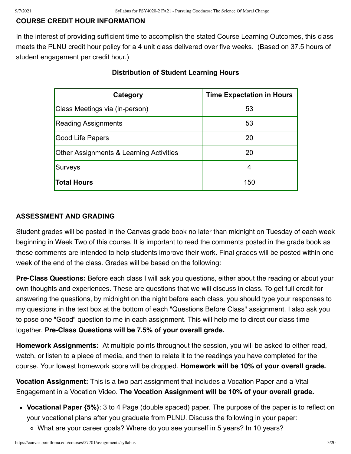# **COURSE CREDIT HOUR INFORMATION**

In the interest of providing sufficient time to accomplish the stated Course Learning Outcomes, this class meets the PLNU credit hour policy for a 4 unit class delivered over five weeks. (Based on 37.5 hours of student engagement per credit hour.)

| Category                                           | <b>Time Expectation in Hours</b> |
|----------------------------------------------------|----------------------------------|
| Class Meetings via (in-person)                     | 53                               |
| <b>Reading Assignments</b>                         | 53                               |
| Good Life Papers                                   | 20                               |
| <b>Other Assignments &amp; Learning Activities</b> | 20                               |
| Surveys                                            |                                  |
| <b>Total Hours</b>                                 | 150                              |

#### **Distribution of Student Learning Hours**

#### **ASSESSMENT AND GRADING**

Student grades will be posted in the Canvas grade book no later than midnight on Tuesday of each week beginning in Week Two of this course. It is important to read the comments posted in the grade book as these comments are intended to help students improve their work. Final grades will be posted within one week of the end of the class. Grades will be based on the following:

**Pre-Class Questions:** Before each class I will ask you questions, either about the reading or about your own thoughts and experiences. These are questions that we will discuss in class. To get full credit for answering the questions, by midnight on the night before each class, you should type your responses to my questions in the text box at the bottom of each "Questions Before Class" assignment. I also ask you to pose one "Good" question to me in each assignment. This will help me to direct our class time together. **Pre-Class Questions will be 7.5% of your overall grade.**

**Homework Assignments:** At multiple points throughout the session, you will be asked to either read, watch, or listen to a piece of media, and then to relate it to the readings you have completed for the course. Your lowest homework score will be dropped. **Homework will be 10% of your overall grade.** 

**Vocation Assignment:** This is a two part assignment that includes a Vocation Paper and a Vital Engagement in a Vocation Video. **The Vocation Assignment will be 10% of your overall grade.** 

- **Vocational Paper {5%}**: 3 to 4 Page (double spaced) paper. The purpose of the paper is to reflect on your vocational plans after you graduate from PLNU. Discuss the following in your paper:
	- What are your career goals? Where do you see yourself in 5 years? In 10 years?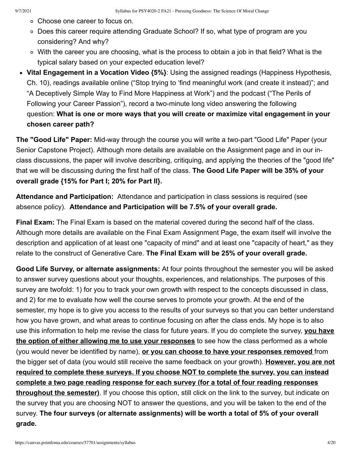- Choose one career to focus on.
- ∘ Does this career require attending Graduate School? If so, what type of program are you considering? And why?
- With the career you are choosing, what is the process to obtain a job in that field? What is the typical salary based on your expected education level?
- **Vital Engagement in a Vocation Video {5%}**: Using the assigned readings (Happiness Hypothesis, Ch. 10), readings available online ("Stop trying to 'find meaningful work (and create it instead)"; and "A Deceptively Simple Way to Find More Happiness at Work") and the podcast ("The Perils of Following your Career Passion"), record a two-minute long video answering the following question: **What is one or more ways that you will create or maximize vital engagement in your chosen career path?**

**The "Good Life" Paper:** Mid-way through the course you will write a two-part "Good Life" Paper (your Senior Capstone Project). Although more details are available on the Assignment page and in our inclass discussions, the paper will involve describing, critiquing, and applying the theories of the "good life" that we will be discussing during the first half of the class. **The Good Life Paper will be 35% of your overall grade {15% for Part I; 20% for Part II}.**

**Attendance and Participation:** Attendance and participation in class sessions is required (see absence policy). **Attendance and Participation will be 7.5% of your overall grade.**

**Final Exam:** The Final Exam is based on the material covered during the second half of the class. Although more details are available on the Final Exam Assignment Page, the exam itself will involve the description and application of at least one "capacity of mind" and at least one "capacity of heart," as they relate to the construct of Generative Care. **The Final Exam will be 25% of your overall grade.**

**Good Life Survey, or alternate assignments:** At four points throughout the semester you will be asked to answer survey questions about your thoughts, experiences, and relationships. The purposes of this survey are twofold: 1) for you to track your own growth with respect to the concepts discussed in class, and 2) for me to evaluate how well the course serves to promote your growth. At the end of the semester, my hope is to give you access to the results of your surveys so that you can better understand how you have grown, and what areas to continue focusing on after the class ends. My hope is to also use this information to help me revise the class for future years. If you do complete the survey, **you have the option of either allowing me to use your responses** to see how the class performed as a whole (you would never be identified by name), **or you can choose to have your responses removed** from the bigger set of data (you would still receive the same feedback on your growth). **However, you are not required to complete these surveys. If you choose NOT to complete the survey, you can instead complete a two page reading response for each survey (for a total of four reading responses throughout the semester)**. If you choose this option, still click on the link to the survey, but indicate on the survey that you are choosing NOT to answer the questions, and you will be taken to the end of the survey. **The four surveys (or alternate assignments) will be worth a total of 5% of your overall grade.**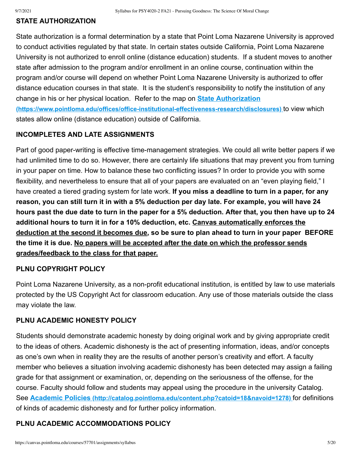#### **STATE AUTHORIZATION**

State authorization is a formal determination by a state that Point Loma Nazarene University is approved to conduct activities regulated by that state. In certain states outside California, Point Loma Nazarene University is not authorized to enroll online (distance education) students. If a student moves to another state after admission to the program and/or enrollment in an online course, continuation within the program and/or course will depend on whether Point Loma Nazarene University is authorized to offer distance education courses in that state. It is the student's responsibility to notify the institution of any change in his or her physical location. Refer to the map on **State Authorization [\(https://www.pointloma.edu/offices/office-institutional-effectiveness-research/disclosures\)](https://www.pointloma.edu/offices/office-institutional-effectiveness-research/disclosures)** to view which states allow online (distance education) outside of California.

#### **INCOMPLETES AND LATE ASSIGNMENTS**

Part of good paper-writing is effective time-management strategies. We could all write better papers if we had unlimited time to do so. However, there are certainly life situations that may prevent you from turning in your paper on time. How to balance these two conflicting issues? In order to provide you with some flexibility, and nevertheless to ensure that all of your papers are evaluated on an "even playing field," I have created a tiered grading system for late work. **If you miss a deadline to turn in a paper, for any reason, you can still turn it in with a 5% deduction per day late. For example, you will have 24 hours past the due date to turn in the paper for a 5% deduction. After that, you then have up to 24 additional hours to turn it in for a 10% deduction, etc. Canvas automatically enforces the deduction at the second it becomes due, so be sure to plan ahead to turn in your paper BEFORE the time it is due. No papers will be accepted after the date on which the professor sends grades/feedback to the class for that paper.**

#### **PLNU COPYRIGHT POLICY**

Point Loma Nazarene University, as a non-profit educational institution, is entitled by law to use materials protected by the US Copyright Act for classroom education. Any use of those materials outside the class may violate the law.

#### **PLNU ACADEMIC HONESTY POLICY**

Students should demonstrate academic honesty by doing original work and by giving appropriate credit to the ideas of others. Academic dishonesty is the act of presenting information, ideas, and/or concepts as one's own when in reality they are the results of another person's creativity and effort. A faculty member who believes a situation involving academic dishonesty has been detected may assign a failing grade for that assignment or examination, or, depending on the seriousness of the offense, for the course. Faculty should follow and students may appeal using the procedure in the university Catalog. See **Academic Policies [\(http://catalog.pointloma.edu/content.php?catoid=18&navoid=1278\)](http://catalog.pointloma.edu/content.php?catoid=18&navoid=1278)** for definitions of kinds of academic dishonesty and for further policy information.

#### **PLNU ACADEMIC ACCOMMODATIONS POLICY**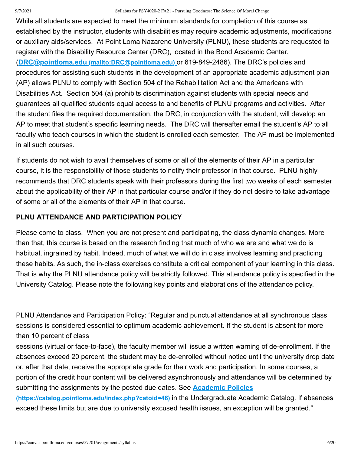#### 9/7/2021 Syllabus for PSY4020-2 FA21 - Pursuing Goodness: The Science Of Moral Change

While all students are expected to meet the minimum standards for completion of this course as established by the instructor, students with disabilities may require academic adjustments, modifications or auxiliary aids/services. At Point Loma Nazarene University (PLNU), these students are requested to register with the Disability Resource Center (DRC), located in the Bond Academic Center. (**DRC@pointloma.edu [\(mailto:DRC@pointloma.edu\)](mailto:DRC@pointloma.edu)** or 619-849-2486). The DRC's policies and procedures for assisting such students in the development of an appropriate academic adjustment plan (AP) allows PLNU to comply with Section 504 of the Rehabilitation Act and the Americans with Disabilities Act. Section 504 (a) prohibits discrimination against students with special needs and guarantees all qualified students equal access to and benefits of PLNU programs and activities. After the student files the required documentation, the DRC, in conjunction with the student, will develop an AP to meet that student's specific learning needs. The DRC will thereafter email the student's AP to all faculty who teach courses in which the student is enrolled each semester. The AP must be implemented in all such courses.

If students do not wish to avail themselves of some or all of the elements of their AP in a particular course, it is the responsibility of those students to notify their professor in that course. PLNU highly recommends that DRC students speak with their professors during the first two weeks of each semester about the applicability of their AP in that particular course and/or if they do not desire to take advantage of some or all of the elements of their AP in that course.

#### **PLNU ATTENDANCE AND PARTICIPATION POLICY**

Please come to class. When you are not present and participating, the class dynamic changes. More than that, this course is based on the research finding that much of who we are and what we do is habitual, ingrained by habit. Indeed, much of what we will do in class involves learning and practicing these habits. As such, the in-class exercises constitute a critical component of your learning in this class. That is why the PLNU attendance policy will be strictly followed. This attendance policy is specified in the University Catalog. Please note the following key points and elaborations of the attendance policy.

PLNU Attendance and Participation Policy: "Regular and punctual attendance at all synchronous class sessions is considered essential to optimum academic achievement. If the student is absent for more than 10 percent of class

sessions (virtual or face-to-face), the faculty member will issue a written warning of de-enrollment. If the absences exceed 20 percent, the student may be de-enrolled without notice until the university drop date or, after that date, receive the appropriate grade for their work and participation. In some courses, a portion of the credit hour content will be delivered asynchronously and attendance will be determined by [submitting the assignments by the posted due dates. See](https://catalog.pointloma.edu/index.php?catoid=46) **Academic Policies**

**(https://catalog.pointloma.edu/index.php?catoid=46)** in the Undergraduate Academic Catalog. If absences exceed these limits but are due to university excused health issues, an exception will be granted."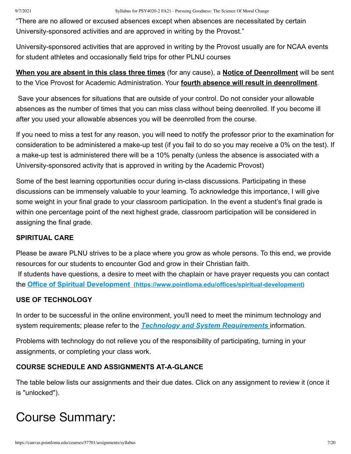"There are no allowed or excused absences except when absences are necessitated by certain University-sponsored activities and are approved in writing by the Provost."

University-sponsored activities that are approved in writing by the Provost usually are for NCAA events for student athletes and occasionally field trips for other PLNU courses

# **When you are absent in this class three times** (for any cause), a **Notice of Deenrollment** will be sent to the Vice Provost for Academic Administration. Your **fourth absence will result in deenrollment**.

Save your absences for situations that are outside of your control. Do not consider your allowable absences as the number of times that you can miss class without being deenrolled. If you become ill after you used your allowable absences you will be deenrolled from the course.

If you need to miss a test for any reason, you will need to notify the professor prior to the examination for consideration to be administered a make-up test (if you fail to do so you may receive a 0% on the test). If a make-up test is administered there will be a 10% penalty (unless the absence is associated with a University-sponsored activity that is approved in writing by the Academic Provost)

Some of the best learning opportunities occur during in-class discussions. Participating in these discussions can be immensely valuable to your learning. To acknowledge this importance, I will give some weight in your final grade to your classroom participation. In the event a student's final grade is within one percentage point of the next highest grade, classroom participation will be considered in assigning the final grade.

### **SPIRITUAL CARE**

Please be aware PLNU strives to be a place where you grow as whole persons. To this end, we provide resources for our students to encounter God and grow in their Christian faith. If students have questions, a desire to meet with the chaplain or have prayer requests you can contact the **Office of Spiritual Development [\(https://www.pointloma.edu/offices/spiritual-development\)](https://www.pointloma.edu/offices/spiritual-development)**

# **USE OF TECHNOLOGY**

In order to be successful in the online environment, you'll need to meet the minimum technology and system requirements; please refer to the *[Technology and System Requirements](https://canvas.pointloma.edu/courses/51315/pages/technology-and-system-requirements)* information.

Problems with technology do not relieve you of the responsibility of participating, turning in your assignments, or completing your class work.

# **COURSE SCHEDULE AND ASSIGNMENTS AT-A-GLANCE**

The table below lists our assignments and their due dates. Click on any assignment to review it (once it is "unlocked").

# Course Summary: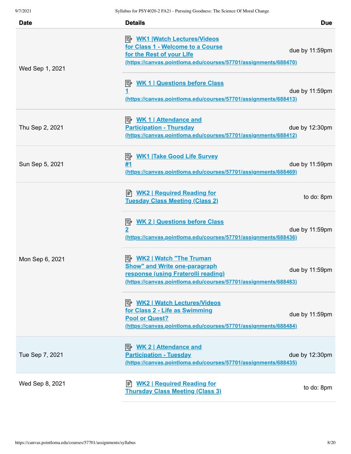| <b>Date</b>     | <b>Details</b>                                                                                                                                                                 | <b>Due</b>     |
|-----------------|--------------------------------------------------------------------------------------------------------------------------------------------------------------------------------|----------------|
| Wed Sep 1, 2021 | <b>B</b> WK1 Watch Lectures/Videos<br>for Class 1 - Welcome to a Course<br>for the Rest of your Life<br><u>(https://canvas.pointloma.edu/courses/57701/assignments/688470)</u> | due by 11:59pm |
|                 | <b>B</b> WK 1   Questions before Class<br>(https://canvas.pointloma.edu/courses/57701/assignments/688413)                                                                      | due by 11:59pm |
| Thu Sep 2, 2021 | <b>Participation - Thursday</b><br>(https://canvas.pointloma.edu/courses/57701/assignments/688412)                                                                             | due by 12:30pm |
| Sun Sep 5, 2021 | <b>WK1 Take Good Life Survey</b><br>序<br>#1<br>(https://canvas.pointloma.edu/courses/57701/assignments/688469)                                                                 | due by 11:59pm |
|                 | <b>E</b> WK2   Required Reading for<br><b>Tuesday Class Meeting (Class 2)</b>                                                                                                  | to do: 8pm     |
| Mon Sep 6, 2021 | <b>WK 2   Questions before Class</b><br>ぽ<br>$\overline{\mathbf{2}}$<br>(https://canvas.pointloma.edu/courses/57701/assignments/688436)                                        | due by 11:59pm |
|                 | <b>Show" and Write one-paragraph</b><br>response (using Fraterolli reading)<br>(https://canvas.pointloma.edu/courses/57701/assignments/688483)                                 | due by 11:59pm |
|                 | <b>B</b> WK2   Watch Lectures/Videos<br>for Class 2 - Life as Swimming<br><b>Pool or Quest?</b><br>(https://canvas.pointloma.edu/courses/57701/assignments/688484)             | due by 11:59pm |
| Tue Sep 7, 2021 | <b>WK 2   Attendance and</b><br><b>Participation - Tuesday</b><br>(https://canvas.pointloma.edu/courses/57701/assignments/688435)                                              | due by 12:30pm |
| Wed Sep 8, 2021 | <b>WK2   Required Reading for</b><br><b>Thursday Class Meeting (Class 3)</b>                                                                                                   | to do: 8pm     |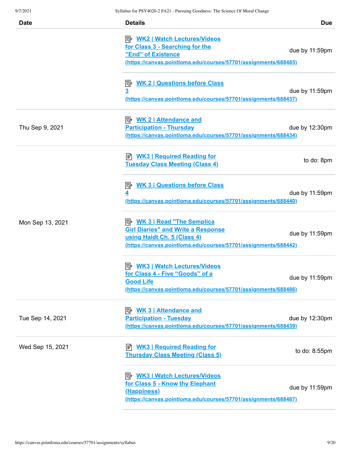| <b>Date</b>      | <b>Details</b><br><b>Due</b>                                                                                                                                                                        |
|------------------|-----------------------------------------------------------------------------------------------------------------------------------------------------------------------------------------------------|
|                  | <u>  WK2   Watch Lectures/Videos</u><br>for Class 3 - Searching for the<br>due by 11:59pm<br>"End" of Existence<br>(https://canvas.pointloma.edu/courses/57701/assignments/688485)                  |
|                  | <b>WK 2   Questions before Class</b><br> 診<br>$\overline{\mathbf{3}}$<br>due by 11:59pm<br>(https://canvas.pointloma.edu/courses/57701/assignments/688437)                                          |
| Thu Sep 9, 2021  | <b>Participation - Thursday</b><br>due by 12:30pm<br>(https://canvas.pointloma.edu/courses/57701/assignments/688434)                                                                                |
|                  | ≢ <u>WK3   Required Reading for</u><br>to do: 8pm<br><b>Tuesday Class Meeting (Class 4)</b>                                                                                                         |
|                  | <b>WK 3   Questions before Class</b><br>零<br>due by 11:59pm<br>(https://canvas.pointloma.edu/courses/57701/assignments/688440)                                                                      |
| Mon Sep 13, 2021 | <b>B</b> WK 3   Read "The Semplica<br><b>Girl Diaries" and Write a Response</b><br>due by 11:59pm<br>using Haidt Ch. 5 (Class 4)<br>(https://canvas.pointloma.edu/courses/57701/assignments/688442) |
|                  | <b>WK3   Watch Lectures/Videos</b><br>ぽん<br>for Class 4 - Five "Goods" of a<br>due by 11:59pm<br><b>Good Life</b><br>(https://canvas.pointloma.edu/courses/57701/assignments/688486)                |
| Tue Sep 14, 2021 | <u> <i>WK</i> 3   Attendance and</u><br><b>Participation - Tuesday</b><br>due by 12:30pm<br><u>(https://canvas.pointloma.edu/courses/57701/assignments/688439)</u>                                  |
| Wed Sep 15, 2021 | <b>E</b> WK3   Required Reading for<br>to do: 8:55pm<br><b>Thursday Class Meeting (Class 5)</b>                                                                                                     |
|                  | <b>B</b> WK3   Watch Lectures/Videos<br>for Class 5 - Know thy Elephant<br>due by 11:59pm<br>(Happiness)<br>(https://canvas.pointloma.edu/courses/57701/assignments/688487)                         |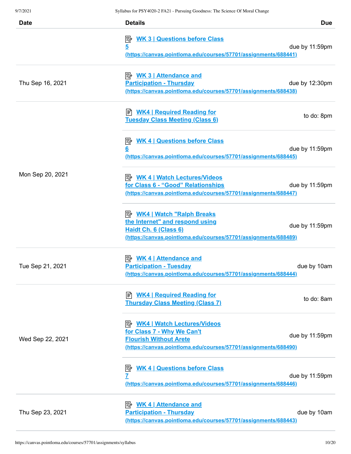| <b>Date</b>      | <b>Details</b>                                                                                                                                                         | <b>Due</b>     |
|------------------|------------------------------------------------------------------------------------------------------------------------------------------------------------------------|----------------|
|                  | <b>WK 3   Questions before Class</b><br> 診<br>5<br>(https://canvas.pointloma.edu/courses/57701/assignments/688441)                                                     | due by 11:59pm |
| Thu Sep 16, 2021 | <b>Participation - Thursday</b><br>(https://canvas.pointloma.edu/courses/57701/assignments/688438)                                                                     | due by 12:30pm |
|                  | <b>WK4   Required Reading for</b><br><b>Tuesday Class Meeting (Class 6)</b>                                                                                            | to do: 8pm     |
|                  | <b>WK 4   Questions before Class</b><br>彫<br>6<br>(https://canvas.pointloma.edu/courses/57701/assignments/688445)                                                      | due by 11:59pm |
| Mon Sep 20, 2021 | <b>B</b> WK 4   Watch Lectures/Videos<br>for Class 6 - "Good" Relationships<br>(https://canvas.pointloma.edu/courses/57701/assignments/688447)                         | due by 11:59pm |
|                  | <b>B</b> WK4   Watch "Ralph Breaks<br>the Internet" and respond using<br>Haidt Ch. 6 (Class 6)<br>(https://canvas.pointloma.edu/courses/57701/assignments/688489)      | due by 11:59pm |
| Tue Sep 21, 2021 | <u> <i>WK 4</i>   Attendance and</u><br><b>Participation - Tuesday</b><br>(https://canvas.pointloma.edu/courses/57701/assignments/688444)                              | due by 10am    |
|                  | <b>E</b> WK4   Required Reading for<br><b>Thursday Class Meeting (Class 7)</b>                                                                                         | to do: 8am     |
| Wed Sep 22, 2021 | <b>B</b> WK4   Watch Lectures/Videos<br>for Class 7 - Why We Can't<br><b>Flourish Without Arete</b><br>(https://canvas.pointloma.edu/courses/57701/assignments/688490) | due by 11:59pm |
|                  | <b>WK 4   Questions before Class</b><br>彫<br>7<br>(https://canvas.pointloma.edu/courses/57701/assignments/688446)                                                      | due by 11:59pm |
| Thu Sep 23, 2021 | <b>WK 4   Attendance and</b><br>眇<br><b>Participation - Thursday</b><br>(https://canvas.pointloma.edu/courses/57701/assignments/688443)                                | due by 10am    |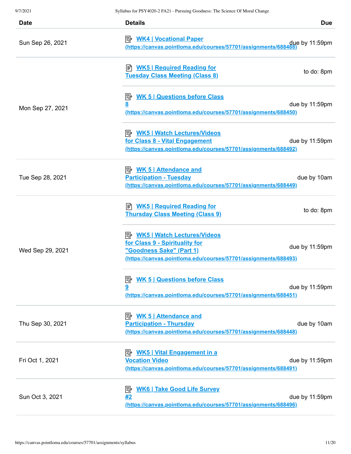| <b>Date</b>      | <b>Details</b>                                                                                                                                                        | <b>Due</b>     |
|------------------|-----------------------------------------------------------------------------------------------------------------------------------------------------------------------|----------------|
| Sun Sep 26, 2021 | <b>B</b> WK4   Vocational Paper<br>(https://canvas.pointloma.edu/courses/57701/assignments/688488                                                                     | due by 11:59pm |
|                  | ≢ <u>WK5   Required Reading for</u><br><b>Tuesday Class Meeting (Class 8)</b>                                                                                         | to do: 8pm     |
| Mon Sep 27, 2021 | <b>E</b> WK 5   Questions before Class<br><u>8</u><br>(https://canvas.pointloma.edu/courses/57701/assignments/688450)                                                 | due by 11:59pm |
|                  | <b>B</b> WK5   Watch Lectures/Videos<br>for Class 8 - Vital Engagement<br>(https://canvas.pointloma.edu/courses/57701/assignments/688492)                             | due by 11:59pm |
| Tue Sep 28, 2021 | <u> <i>WK</i> 5   Attendance and</u><br><b>Participation - Tuesday</b><br>(https://canvas.pointloma.edu/courses/57701/assignments/688449)                             | due by 10am    |
|                  | <b>E</b> WK5   Required Reading for<br><b>Thursday Class Meeting (Class 9)</b>                                                                                        | to do: 8pm     |
| Wed Sep 29, 2021 | <b>E</b> WK5   Watch Lectures/Videos<br>for Class 9 - Spirituality for<br>"Goodness Sake" (Part 1)<br>(https://canvas.pointloma.edu/courses/57701/assignments/688493) | due by 11:59pm |
|                  | <b>WK 5   Questions before Class</b><br> 診<br>9<br>(https://canvas.pointloma.edu/courses/57701/assignments/688451)                                                    | due by 11:59pm |
| Thu Sep 30, 2021 | <b>Participation - Thursday</b><br>(https://canvas.pointloma.edu/courses/57701/assignments/688448)                                                                    | due by 10am    |
| Fri Oct 1, 2021  | <b>Vocation Video</b><br>(https://canvas.pointloma.edu/courses/57701/assignments/688491)                                                                              | due by 11:59pm |
| Sun Oct 3, 2021  | <b>WK6   Take Good Life Survey</b><br> ∺″<br>#2<br>(https://canvas.pointloma.edu/courses/57701/assignments/688496)                                                    | due by 11:59pm |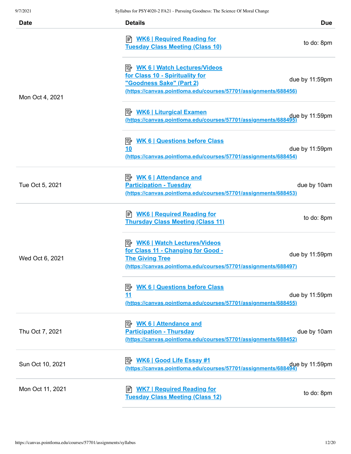| Date             | <b>Details</b>                                                                                                                                                          | <b>Due</b>     |
|------------------|-------------------------------------------------------------------------------------------------------------------------------------------------------------------------|----------------|
| Mon Oct 4, 2021  | <b>E</b> WK6   Required Reading for<br><b>Tuesday Class Meeting (Class 10)</b>                                                                                          | to do: 8pm     |
|                  | for Class 10 - Spirituality for<br>"Goodness Sake" (Part 2)<br>(https://canvas.pointloma.edu/courses/57701/assignments/688456)                                          | due by 11:59pm |
|                  | due by 11:59pm (https://canvas.pointloma.edu/courses/57701/assignments/688495)                                                                                          |                |
|                  | <b>B</b> WK 6   Questions before Class<br>10<br>(https://canvas.pointloma.edu/courses/57701/assignments/688454)                                                         | due by 11:59pm |
| Tue Oct 5, 2021  | <u> <i>WK</i> 6   Attendance and</u><br><b>Participation - Tuesday</b><br>(https://canvas.pointloma.edu/courses/57701/assignments/688453)                               | due by 10am    |
| Wed Oct 6, 2021  | <b>E</b> WK6   Required Reading for<br><b>Thursday Class Meeting (Class 11)</b>                                                                                         | to do: 8pm     |
|                  | <b>B</b> WK6   Watch Lectures/Videos<br>for Class 11 - Changing for Good -<br><b>The Giving Tree</b><br>(https://canvas.pointloma.edu/courses/57701/assignments/688497) | due by 11:59pm |
|                  | <b>WK 6   Questions before Class</b><br><u>11</u><br>(https://canvas.pointloma.edu/courses/57701/assignments/688455)                                                    | due by 11:59pm |
| Thu Oct 7, 2021  | <b>Participation - Thursday</b><br>(https://canvas.pointloma.edu/courses/57701/assignments/688452)                                                                      | due by 10am    |
| Sun Oct 10, 2021 | due by 11:59pm<br>https://canvas.pointloma.edu/courses/57701/assignments/688494)                                                                                        |                |
| Mon Oct 11, 2021 | <b>WK7   Required Reading for</b><br><b>Tuesday Class Meeting (Class 12)</b>                                                                                            | to do: 8pm     |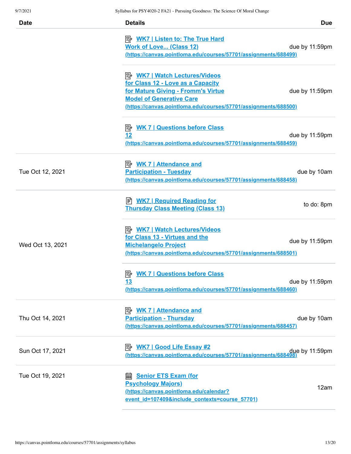| <b>Date</b>      | <b>Details</b>                                                                                                                                                                                                        | <b>Due</b>     |
|------------------|-----------------------------------------------------------------------------------------------------------------------------------------------------------------------------------------------------------------------|----------------|
|                  | <b>E</b> <u>WK7   Listen to: The True Hard</u><br><b>Work of Love (Class 12)</b><br>(https://canvas.pointloma.edu/courses/57701/assignments/688499)                                                                   | due by 11:59pm |
|                  | <b>B</b> WK7   Watch Lectures/Videos<br>for Class 12 - Love as a Capacity<br>for Mature Giving - Fromm's Virtue<br><b>Model of Generative Care</b><br>(https://canvas.pointloma.edu/courses/57701/assignments/688500) | due by 11:59pm |
|                  | <b>WK 7   Questions before Class</b><br>零<br>12<br>(https://canvas.pointloma.edu/courses/57701/assignments/688459)                                                                                                    | due by 11:59pm |
| Tue Oct 12, 2021 | <b>Participation - Tuesday</b><br><u>(https://canvas.pointloma.edu/courses/57701/assignments/688458)</u>                                                                                                              | due by 10am    |
|                  | ■ WK7   Required Reading for<br><b>Thursday Class Meeting (Class 13)</b>                                                                                                                                              | to do: 8pm     |
| Wed Oct 13, 2021 | <b>B</b> <u>WK7   Watch Lectures/Videos</u><br>for Class 13 - Virtues and the<br><b>Michelangelo Project</b><br>(https://canvas.pointloma.edu/courses/57701/assignments/688501)                                       | due by 11:59pm |
|                  | <b>B</b> WK 7   Questions before Class<br><u>13</u><br>(https://canvas.pointloma.edu/courses/57701/assignments/688460)                                                                                                | due by 11:59pm |
| Thu Oct 14, 2021 | <b>WK 7   Attendance and</b><br>影<br><b>Participation - Thursday</b><br>(https://canvas.pointloma.edu/courses/57701/assignments/688457)                                                                               | due by 10am    |
| Sun Oct 17, 2021 | due by 11:59pm .<br>https://canvas.pointloma.edu/courses/57701/assignments/688498)                                                                                                                                    |                |
| Tue Oct 19, 2021 | <b>Senior ETS Exam (for</b><br>翩<br><b>Psychology Majors)</b><br>(https://canvas.pointloma.edu/calendar?<br>event_id=107409&include_contexts=course_57701)                                                            | 12am           |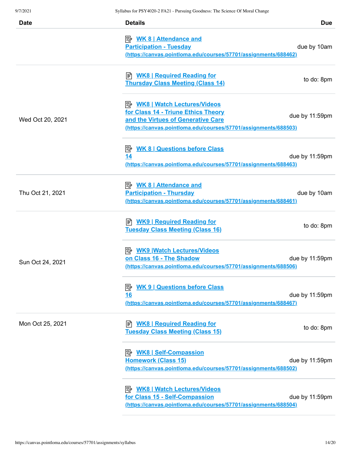| <b>Date</b>      | <b>Details</b>                                                                                                                                                                       | <b>Due</b>     |
|------------------|--------------------------------------------------------------------------------------------------------------------------------------------------------------------------------------|----------------|
|                  | <u>≫ WK 8   Attendance and</u><br><b>Participation - Tuesday</b><br>(https://canvas.pointloma.edu/courses/57701/assignments/688462)                                                  | due by 10am    |
|                  | ■ <b>WK8   Required Reading for</b><br><b>Thursday Class Meeting (Class 14)</b>                                                                                                      | to do: 8pm     |
| Wed Oct 20, 2021 | <u>  WK8   Watch Lectures/Videos</u><br>for Class 14 - Triune Ethics Theory<br>and the Virtues of Generative Care<br>(https://canvas.pointloma.edu/courses/57701/assignments/688503) | due by 11:59pm |
|                  | <b>WK 8   Questions before Class</b><br>零<br>14<br>(https://canvas.pointloma.edu/courses/57701/assignments/688463)                                                                   | due by 11:59pm |
| Thu Oct 21, 2021 | <u> <i>WK</i> 8   Attendance and</u><br><b>Participation - Thursday</b><br>(https://canvas.pointloma.edu/courses/57701/assignments/688461)                                           | due by 10am    |
|                  | ■ <b>WK9   Required Reading for</b><br><b>Tuesday Class Meeting (Class 16)</b>                                                                                                       | to do: 8pm     |
| Sun Oct 24, 2021 | <b>B</b> WK9 Watch Lectures/Videos<br>on Class 16 - The Shadow<br>(https://canvas.pointloma.edu/courses/57701/assignments/688506)                                                    | due by 11:59pm |
|                  | <b>WK 9   Questions before Class</b><br> 診<br><u>16</u><br>(https://canvas.pointloma.edu/courses/57701/assignments/688467)                                                           | due by 11:59pm |
| Mon Oct 25, 2021 | <b>WK8   Required Reading for</b><br>訚<br><b>Tuesday Class Meeting (Class 15)</b>                                                                                                    | to do: 8pm     |
|                  | <b>Homework (Class 15)</b><br>(https://canvas.pointloma.edu/courses/57701/assignments/688502)                                                                                        | due by 11:59pm |
|                  | <b>B</b> WK8   Watch Lectures/Videos<br>for Class 15 - Self-Compassion<br>(https://canvas.pointloma.edu/courses/57701/assignments/688504)                                            | due by 11:59pm |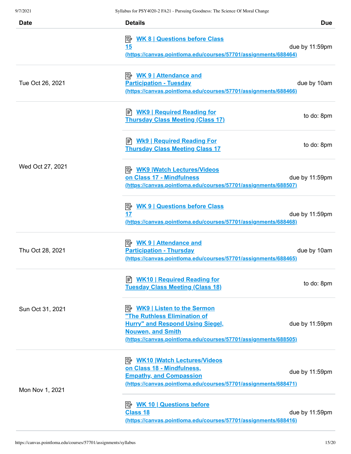| <b>Date</b>      | <b>Details</b>                                                                                                                                                                                              | <b>Due</b>     |
|------------------|-------------------------------------------------------------------------------------------------------------------------------------------------------------------------------------------------------------|----------------|
|                  | <b>WK 8   Questions before Class</b><br>彫<br>15<br>(https://canvas.pointloma.edu/courses/57701/assignments/688464)                                                                                          | due by 11:59pm |
| Tue Oct 26, 2021 | <b>Participation - Tuesday</b><br>(https://canvas.pointloma.edu/courses/57701/assignments/688466)                                                                                                           | due by 10am    |
|                  | ≢ <u>WK9   Required Reading for</u><br><b>Thursday Class Meeting (Class 17)</b>                                                                                                                             | to do: 8pm     |
|                  | ≢ <u>Wk9   Required Reading For</u><br><b>Thursday Class Meeting Class 17</b>                                                                                                                               | to do: 8pm     |
| Wed Oct 27, 2021 | <b>B</b> WK9 Watch Lectures/Videos<br>on Class 17 - Mindfulness<br>(https://canvas.pointloma.edu/courses/57701/assignments/688507)                                                                          | due by 11:59pm |
|                  | <b>E</b> WK 9   Questions before Class<br>17<br>(https://canvas.pointloma.edu/courses/57701/assignments/688468)                                                                                             | due by 11:59pm |
| Thu Oct 28, 2021 | <b>Participation - Thursday</b><br>(https://canvas.pointloma.edu/courses/57701/assignments/688465)                                                                                                          | due by 10am    |
|                  | B WK10   Required Reading for<br><b>Tuesday Class Meeting (Class 18)</b>                                                                                                                                    | to do: 8pm     |
| Sun Oct 31, 2021 | <u>WK9   Listen to the Sermon</u><br>"The Ruthless Elimination of<br><b>Hurry" and Respond Using Siegel,</b><br><b>Nouwen, and Smith</b><br>(https://canvas.pointloma.edu/courses/57701/assignments/688505) | due by 11:59pm |
| Mon Nov 1, 2021  | <u>WK10   Watch Lectures / Videos</u><br>on Class 18 - Mindfulness,<br><b>Empathy, and Compassion</b><br>(https://canvas.pointloma.edu/courses/57701/assignments/688471)                                    | due by 11:59pm |
|                  | <b>Class 18</b><br>(https://canvas.pointloma.edu/courses/57701/assignments/688416)                                                                                                                          | due by 11:59pm |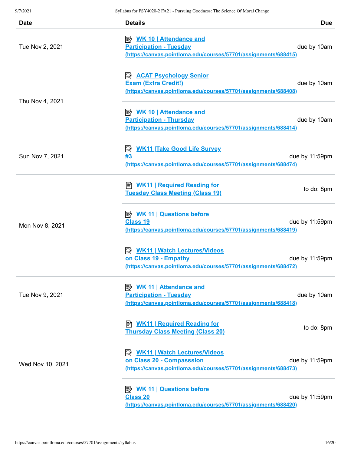| Date             | <b>Details</b>                                                                                                                              | <b>Due</b>     |
|------------------|---------------------------------------------------------------------------------------------------------------------------------------------|----------------|
| Tue Nov 2, 2021  | <u> <i>WK</i> 10   Attendance and</u><br><b>Participation - Tuesday</b><br>(https://canvas.pointloma.edu/courses/57701/assignments/688415)  | due by 10am    |
|                  | P <u>ACAT Psychology Senior</u><br><b>Exam (Extra Credit!)</b><br>(https://canvas.pointloma.edu/courses/57701/assignments/688408)           | due by 10am    |
| Thu Nov 4, 2021  | <u> <i>WK</i> 10   Attendance and</u><br><b>Participation - Thursday</b><br>(https://canvas.pointloma.edu/courses/57701/assignments/688414) | due by 10am    |
| Sun Nov 7, 2021  | <b>WK11 Take Good Life Survey</b><br>零<br>#3<br>(https://canvas.pointloma.edu/courses/57701/assignments/688474)                             | due by 11:59pm |
|                  | <mark>  YK11   Required Reading for</mark><br><b>Tuesday Class Meeting (Class 19)</b>                                                       | to do: 8pm     |
| Mon Nov 8, 2021  | <b>B</b> WK 11   Questions before<br><b>Class 19</b><br>(https://canvas.pointloma.edu/courses/57701/assignments/688419)                     | due by 11:59pm |
|                  | <b>B</b> WK11   Watch Lectures/Videos<br>on Class 19 - Empathy<br>(https://canvas.pointloma.edu/courses/57701/assignments/688472)           | due by 11:59pm |
| Tue Nov 9, 2021  | <b>Attendance and</b><br><b>Participation - Tuesday</b><br>(https://canvas.pointloma.edu/courses/57701/assignments/688418)                  | due by 10am    |
| Wed Nov 10, 2021 | <b>E</b> WK11   Required Reading for<br><b>Thursday Class Meeting (Class 20)</b>                                                            | to do: 8pm     |
|                  | <b>B</b> WK11   Watch Lectures/Videos<br>on Class 20 - Compasssion<br>(https://canvas.pointloma.edu/courses/57701/assignments/688473)       | due by 11:59pm |
|                  | <b>Class 20</b><br>(https://canvas.pointloma.edu/courses/57701/assignments/688420)                                                          | due by 11:59pm |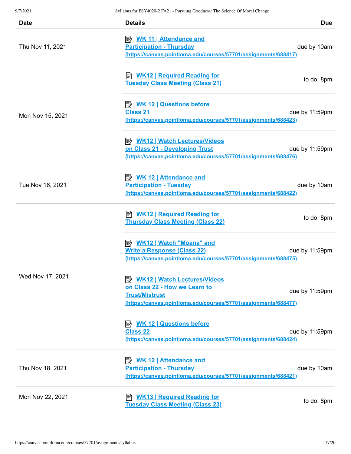| <b>Date</b>      | <b>Details</b>                                                                                                                                                     | <b>Due</b>     |
|------------------|--------------------------------------------------------------------------------------------------------------------------------------------------------------------|----------------|
| Thu Nov 11, 2021 | <b>Participation - Thursday</b><br>(https://canvas.pointloma.edu/courses/57701/assignments/688417)                                                                 | due by 10am    |
|                  | <u>WK12   Required Reading for</u><br><b>Tuesday Class Meeting (Class 21)</b>                                                                                      | to do: 8pm     |
| Mon Nov 15, 2021 | <b>A. WK 12   Questions before</b><br><b>Class 21</b><br>(https://canvas.pointloma.edu/courses/57701/assignments/688423)                                           | due by 11:59pm |
|                  | <b>B</b> WK12   Watch Lectures/Videos<br>on Class 21 - Developing Trust<br>(https://canvas.pointloma.edu/courses/57701/assignments/688476)                         | due by 11:59pm |
| Tue Nov 16, 2021 | <b>Participation - Tuesday</b><br>(https://canvas.pointloma.edu/courses/57701/assignments/688422)                                                                  | due by 10am    |
|                  | ■ WK12   Required Reading for<br><b>Thursday Class Meeting (Class 22)</b>                                                                                          | to do: 8pm     |
|                  | <b>Write a Response (Class 22)</b><br>(https://canvas.pointloma.edu/courses/57701/assignments/688475)                                                              | due by 11:59pm |
| Wed Nov 17, 2021 | <b>B</b> WK12   Watch Lectures/Videos<br>on Class 22 - How we Learn to<br><b>Trust/Mistrust</b><br>(https://canvas.pointloma.edu/courses/57701/assignments/688477) | due by 11:59pm |
|                  | <b>Class 22</b><br>(https://canvas.pointloma.edu/courses/57701/assignments/688424)                                                                                 | due by 11:59pm |
| Thu Nov 18, 2021 | <b>Participation - Thursday</b><br>(https://canvas.pointloma.edu/courses/57701/assignments/688421)                                                                 | due by 10am    |
| Mon Nov 22, 2021 | <b>html</b> WK13   Required Reading for<br><b>Tuesday Class Meeting (Class 23)</b>                                                                                 | to do: 8pm     |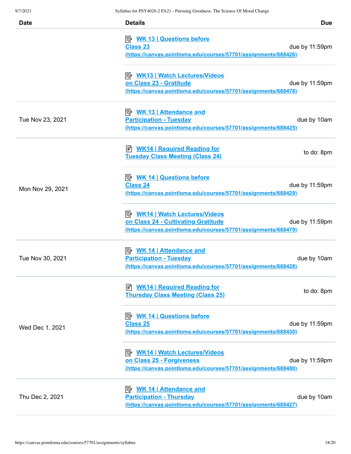| <b>Date</b>      | <b>Details</b>                                                                                                                                  | <b>Due</b>     |
|------------------|-------------------------------------------------------------------------------------------------------------------------------------------------|----------------|
|                  | <b>B</b> WK 13   Questions before<br><b>Class 23</b><br>(https://canvas.pointloma.edu/courses/57701/assignments/688426)                         | due by 11:59pm |
|                  | P WK13   Watch Lectures/Videos<br>on Class 23 - Gratitude<br>(https://canvas.pointloma.edu/courses/57701/assignments/688478)                    | due by 11:59pm |
| Tue Nov 23, 2021 | <u> <i>WK</i> 13   Attendance and</u><br><b>Participation - Tuesday</b><br>(https://canvas.pointloma.edu/courses/57701/assignments/688425)      | due by 10am    |
|                  | ≢ <u>WK14   Required Reading for</u><br><b>Tuesday Class Meeting (Class 24)</b>                                                                 | to do: 8pm     |
| Mon Nov 29, 2021 | <b>B</b> WK 14   Questions before<br><b>Class 24</b><br>(https://canvas.pointloma.edu/courses/57701/assignments/688429)                         | due by 11:59pm |
|                  | <b>B</b> WK14   Watch Lectures/Videos<br>on Class 24 - Cultivating Gratitude<br>(https://canvas.pointloma.edu/courses/57701/assignments/688479) | due by 11:59pm |
| Tue Nov 30, 2021 | <u> <i>WK</i> 14   Attendance and</u><br><b>Participation - Tuesday</b><br>(https://canvas.pointloma.edu/courses/57701/assignments/688428)      | due by 10am    |
|                  | E WK14   Required Reading for<br><b>Thursday Class Meeting (Class 25)</b>                                                                       | to do: 8pm     |
| Wed Dec 1, 2021  | <b>B</b> WK 14   Questions before<br><b>Class 25</b><br>(https://canvas.pointloma.edu/courses/57701/assignments/688430)                         | due by 11:59pm |
|                  | on Class 25 - Forgiveness<br>(https://canvas.pointloma.edu/courses/57701/assignments/688480)                                                    | due by 11:59pm |
| Thu Dec 2, 2021  | <b>Participation - Thursday</b><br>(https://canvas.pointloma.edu/courses/57701/assignments/688427)                                              | due by 10am    |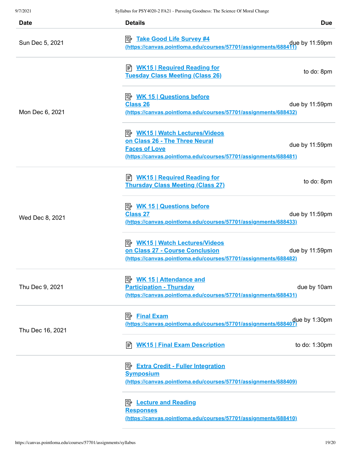| <b>Date</b>      | <b>Details</b>                                                                                                                                                     | <b>Due</b>     |
|------------------|--------------------------------------------------------------------------------------------------------------------------------------------------------------------|----------------|
| Sun Dec 5, 2021  | <b>B</b> Take Good Life Survey #4<br>(https://canvas.pointloma.edu/courses/57701/assignments/688411                                                                | due by 11:59pm |
| Mon Dec 6, 2021  | B WK15   Required Reading for<br><b>Tuesday Class Meeting (Class 26)</b>                                                                                           | to do: 8pm     |
|                  | <b>Class 26</b><br>(https://canvas.pointloma.edu/courses/57701/assignments/688432)                                                                                 | due by 11:59pm |
|                  | <b>B</b> WK15   Watch Lectures/Videos<br>on Class 26 - The Three Neural<br><b>Faces of Love</b><br>(https://canvas.pointloma.edu/courses/57701/assignments/688481) | due by 11:59pm |
| Wed Dec 8, 2021  | E WK15   Required Reading for<br><b>Thursday Class Meeting (Class 27)</b>                                                                                          | to do: 8pm     |
|                  | <b>Class 27</b><br>(https://canvas.pointloma.edu/courses/57701/assignments/688433)                                                                                 | due by 11:59pm |
|                  | <b>B</b> WK15   Watch Lectures/Videos<br>on Class 27 - Course Conclusion<br>(https://canvas.pointloma.edu/courses/57701/assignments/688482)                        | due by 11:59pm |
| Thu Dec 9, 2021  | <u> <i>WK</i> 15   Attendance and</u><br><b>Participation - Thursday</b><br><u>(https://canvas.pointloma.edu/courses/57701/assignments/688431)</u>                 | due by 10am    |
| Thu Dec 16, 2021 | <b>Final Exam</b><br>⊯<br>due by 1:30pm (https://canvas.pointloma.edu/courses/57701/assignments/688407)                                                            |                |
|                  | ■ WK15   Final Exam Description                                                                                                                                    | to do: 1:30pm  |
|                  | <b>Extra Credit - Fuller Integration</b><br>影<br><b>Symposium</b><br>(https://canvas.pointloma.edu/courses/57701/assignments/688409)                               |                |
|                  | <b>Lecture and Reading</b><br><b>Responses</b><br>(https://canvas.pointloma.edu/courses/57701/assignments/688410)                                                  |                |